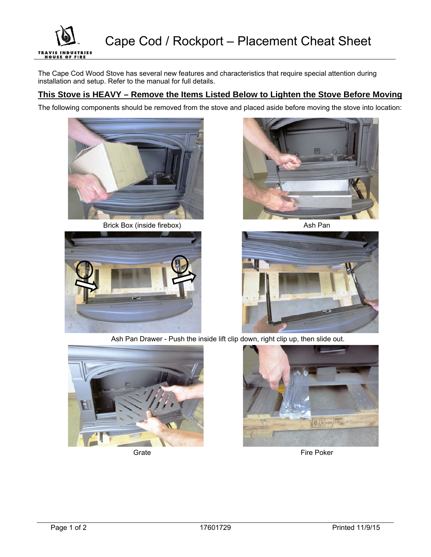

The Cape Cod Wood Stove has several new features and characteristics that require special attention during installation and setup. Refer to the manual for full details.

## **This Stove is HEAVY – Remove the Items Listed Below to Lighten the Stove Before Moving**

The following components should be removed from the stove and placed aside before moving the stove into location:



Brick Box (inside firebox) and a set of the Ash Pan







Ash Pan Drawer - Push the inside lift clip down, right clip up, then slide out.





Grate **Fire Poker** Fire Poker